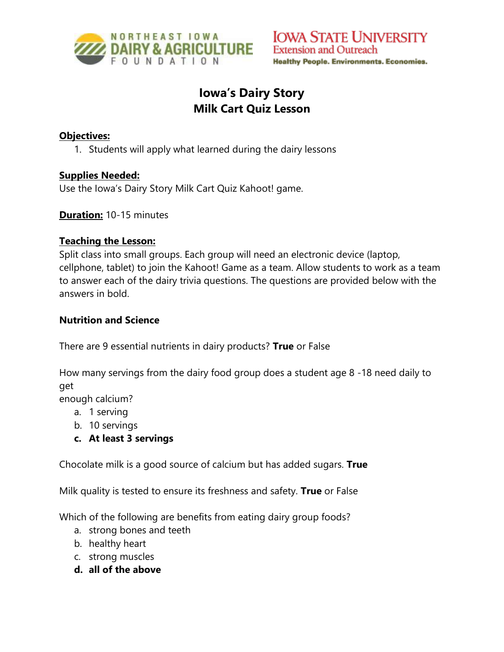

# **Iowa's Dairy Story Milk Cart Quiz Lesson**

#### **Objectives:**

1. Students will apply what learned during the dairy lessons

#### **Supplies Needed:**

Use the Iowa's Dairy Story Milk Cart Quiz Kahoot! game.

**Duration:** 10-15 minutes

#### **Teaching the Lesson:**

Split class into small groups. Each group will need an electronic device (laptop, cellphone, tablet) to join the Kahoot! Game as a team. Allow students to work as a team to answer each of the dairy trivia questions. The questions are provided below with the answers in bold.

#### **Nutrition and Science**

There are 9 essential nutrients in dairy products? **True** or False

How many servings from the dairy food group does a student age 8 -18 need daily to get

enough calcium?

- a. 1 serving
- b. 10 servings
- **c. At least 3 servings**

Chocolate milk is a good source of calcium but has added sugars. **True**

Milk quality is tested to ensure its freshness and safety. **True** or False

Which of the following are benefits from eating dairy group foods?

- a. strong bones and teeth
- b. healthy heart
- c. strong muscles
- **d. all of the above**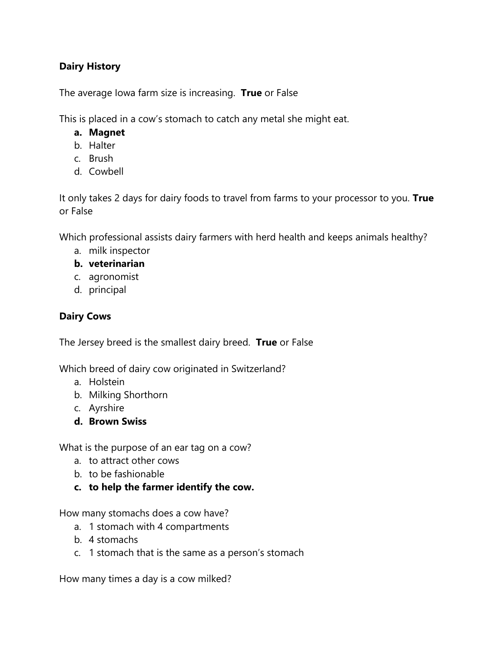# **Dairy History**

The average Iowa farm size is increasing. **True** or False

This is placed in a cow's stomach to catch any metal she might eat.

- **a. Magnet**
- b. Halter
- c. Brush
- d. Cowbell

It only takes 2 days for dairy foods to travel from farms to your processor to you. **True** or False

Which professional assists dairy farmers with herd health and keeps animals healthy?

a. milk inspector

### **b. veterinarian**

- c. agronomist
- d. principal

# **Dairy Cows**

The Jersey breed is the smallest dairy breed. **True** or False

Which breed of dairy cow originated in Switzerland?

- a. Holstein
- b. Milking Shorthorn
- c. Ayrshire
- **d. Brown Swiss**

What is the purpose of an ear tag on a cow?

- a. to attract other cows
- b. to be fashionable
- **c. to help the farmer identify the cow.**

How many stomachs does a cow have?

- a. 1 stomach with 4 compartments
- b. 4 stomachs
- c. 1 stomach that is the same as a person's stomach

How many times a day is a cow milked?